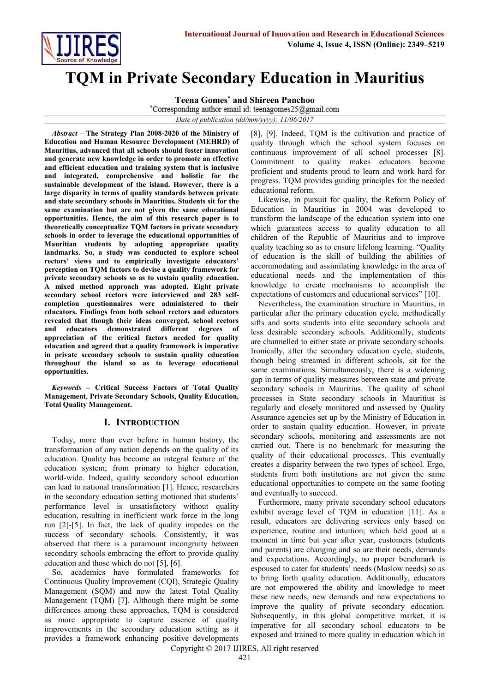

# **TQM in Private Secondary Education in Mauritius**

**Teena Gomes\* and Shireen Panchoo**

*Date of publication (dd/mm/yyyy): 11/06/2017*

*Abstract* **– The Strategy Plan 2008-2020 of the Ministry of Education and Human Resource Development (MEHRD) of Mauritius, advanced that all schools should foster innovation and generate new knowledge in order to promote an effective and efficient education and training system that is inclusive and integrated, comprehensive and holistic for the sustainable development of the island. However, there is a large disparity in terms of quality standards between private and state secondary schools in Mauritius. Students sit for the same examination but are not given the same educational opportunities. Hence, the aim of this research paper is to theoretically conceptualize TQM factors in private secondary schools in order to leverage the educational opportunities of Mauritian students by adopting appropriate quality landmarks. So, a study was conducted to explore school rectors' views and to empirically investigate educators' perception on TQM factors to devise a quality framework for private secondary schools so as to sustain quality education. A mixed method approach was adopted. Eight private secondary school rectors were interviewed and 283 selfcompletion questionnaires were administered to their educators. Findings from both school rectors and educators revealed that though their ideas converged, school rectors and educators demonstrated different degrees of appreciation of the critical factors needed for quality education and agreed that a quality framework is imperative in private secondary schools to sustain quality education throughout the island so as to leverage educational opportunities.**

*Keywords* **– Critical Success Factors of Total Quality Management, Private Secondary Schools, Quality Education, Total Quality Management.**

# **I. INTRODUCTION**

Today, more than ever before in human history, the transformation of any nation depends on the quality of its education. Quality has become an integral feature of the education system; from primary to higher education, world-wide. Indeed, quality secondary school education can lead to national transformation [1]. Hence, researchers in the secondary education setting motioned that students' performance level is unsatisfactory without quality education, resulting in inefficient work force in the long run [2]-[5]. In fact, the lack of quality impedes on the success of secondary schools. Consistently, it was observed that there is a paramount incongruity between secondary schools embracing the effort to provide quality education and those which do not [5], [6].

So, academics have formulated frameworks for Continuous Quality Improvement (CQI), Strategic Quality Management (SQM) and now the latest Total Quality Management (TQM) [7]. Although there might be some differences among these approaches, TQM is considered as more appropriate to capture essence of quality improvements in the secondary education setting as it provides a framework enhancing positive developments [8], [9]. Indeed, TQM is the cultivation and practice of quality through which the school system focuses on continuous improvement of all school processes [8]. Commitment to quality makes educators become proficient and students proud to learn and work hard for progress. TQM provides guiding principles for the needed educational reform.

Likewise, in pursuit for quality, the Reform Policy of Education in Mauritius in 2004 was developed to transform the landscape of the education system into one which guarantees access to quality education to all children of the Republic of Mauritius and to improve quality teaching so as to ensure lifelong learning. "Quality of education is the skill of building the abilities of accommodating and assimilating knowledge in the area of educational needs and the implementation of this knowledge to create mechanisms to accomplish the expectations of customers and educational services" [10].

Nevertheless, the examination structure in Mauritius, in particular after the primary education cycle, methodically sifts and sorts students into elite secondary schools and less desirable secondary schools. Additionally, students are channelled to either state or private secondary schools. Ironically, after the secondary education cycle, students, though being streamed in different schools, sit for the same examinations. Simultaneously, there is a widening gap in terms of quality measures between state and private secondary schools in Mauritius. The quality of school processes in State secondary schools in Mauritius is regularly and closely monitored and assessed by Quality Assurance agencies set up by the Ministry of Education in order to sustain quality education. However, in private secondary schools, monitoring and assessments are not carried out. There is no benchmark for measuring the quality of their educational processes. This eventually creates a disparity between the two types of school. Ergo, students from both institutions are not given the same educational opportunities to compete on the same footing and eventually to succeed.

Furthermore, many private secondary school educators exhibit average level of TQM in education [11]. As a result, educators are delivering services only based on experience, routine and intuition; which held good at a moment in time but year after year, customers (students and parents) are changing and so are their needs, demands and expectations. Accordingly, no proper benchmark is espoused to cater for students' needs (Maslow needs) so as to bring forth quality education. Additionally, educators are not empowered the ability and knowledge to meet these new needs, new demands and new expectations to improve the quality of private secondary education. Subsequently, in this global competitive market, it is imperative for all secondary school educators to be exposed and trained to more quality in education which in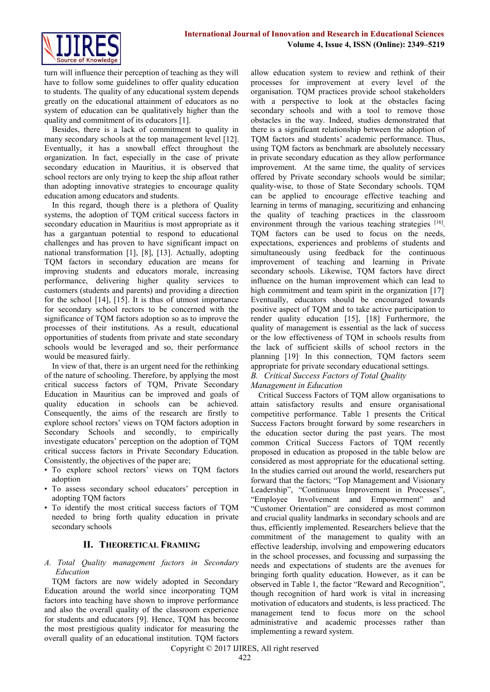

turn will influence their perception of teaching as they will have to follow some guidelines to offer quality education to students. The quality of any educational system depends greatly on the educational attainment of educators as no system of education can be qualitatively higher than the quality and commitment of its educators [1].

Besides, there is a lack of commitment to quality in many secondary schools at the top management level [12]. Eventually, it has a snowball effect throughout the organization. In fact, especially in the case of private secondary education in Mauritius, it is observed that school rectors are only trying to keep the ship afloat rather than adopting innovative strategies to encourage quality education among educators and students.

In this regard, though there is a plethora of Quality systems, the adoption of TQM critical success factors in secondary education in Mauritius is most appropriate as it has a gargantuan potential to respond to educational challenges and has proven to have significant impact on national transformation [1], [8], [13]. Actually, adopting TQM factors in secondary education are means for improving students and educators morale, increasing performance, delivering higher quality services to customers (students and parents) and providing a direction for the school [14], [15]. It is thus of utmost importance for secondary school rectors to be concerned with the significance of TQM factors adoption so as to improve the processes of their institutions. As a result, educational opportunities of students from private and state secondary schools would be leveraged and so, their performance would be measured fairly.

In view of that, there is an urgent need for the rethinking of the nature of schooling. Therefore, by applying the most critical success factors of TQM, Private Secondary Education in Mauritius can be improved and goals of quality education in schools can be achieved. Consequently, the aims of the research are firstly to explore school rectors' views on TQM factors adoption in Secondary Schools and secondly, to empirically investigate educators' perception on the adoption of TQM critical success factors in Private Secondary Education. Consistently, the objectives of the paper are;

- To explore school rectors' views on TQM factors adoption
- To assess secondary school educators' perception in adopting TQM factors
- To identify the most critical success factors of TQM needed to bring forth quality education in private secondary schools

# **II. THEORETICAL FRAMING**

#### *A. Total Quality management factors in Secondary Education*

TQM factors are now widely adopted in Secondary Education around the world since incorporating TQM factors into teaching have shown to improve performance and also the overall quality of the classroom experience for students and educators [9]. Hence, TQM has become the most prestigious quality indicator for measuring the overall quality of an educational institution. TQM factors

allow education system to review and rethink of their processes for improvement at every level of the organisation. TQM practices provide school stakeholders with a perspective to look at the obstacles facing secondary schools and with a tool to remove those obstacles in the way. Indeed, studies demonstrated that there is a significant relationship between the adoption of TQM factors and students' academic performance. Thus, using TQM factors as benchmark are absolutely necessary in private secondary education as they allow performance improvement. At the same time, the quality of services offered by Private secondary schools would be similar; quality-wise, to those of State Secondary schools. TQM can be applied to encourage effective teaching and learning in terms of managing, securitizing and enhancing the quality of teaching practices in the classroom environment through the various teaching strategies [16]. TQM factors can be used to focus on the needs, expectations, experiences and problems of students and simultaneously using feedback for the continuous improvement of teaching and learning in Private secondary schools. Likewise, TQM factors have direct influence on the human improvement which can lead to high commitment and team spirit in the organization [17]. Eventually, educators should be encouraged towards positive aspect of TQM and to take active participation to render quality education [15], [18]. Furthermore, the quality of management is essential as the lack of success or the low effectiveness of TQM in schools results from the lack of sufficient skills of school rectors in the planning [19]. In this connection, TQM factors seem appropriate for private secondary educational settings.

#### *B. Critical Success Factors of Total Quality Management in Education*

Critical Success Factors of TQM allow organisations to attain satisfactory results and ensure organisational competitive performance. Table 1 presents the Critical Success Factors brought forward by some researchers in the education sector during the past years. The most common Critical Success Factors of TQM recently proposed in education as proposed in the table below are considered as most appropriate for the educational setting. In the studies carried out around the world, researchers put forward that the factors; "Top Management and Visionary Leadership", "Continuous Improvement in Processes", "Employee Involvement and Empowerment" and "Customer Orientation" are considered as most common and crucial quality landmarks in secondary schools and are thus, efficiently implemented. Researchers believe that the commitment of the management to quality with an effective leadership, involving and empowering educators in the school processes, and focussing and surpassing the needs and expectations of students are the avenues for bringing forth quality education. However, as it can be observed in Table 1, the factor "Reward and Recognition", though recognition of hard work is vital in increasing motivation of educators and students, is less practiced. The management tend to focus more on the school administrative and academic processes rather than implementing a reward system.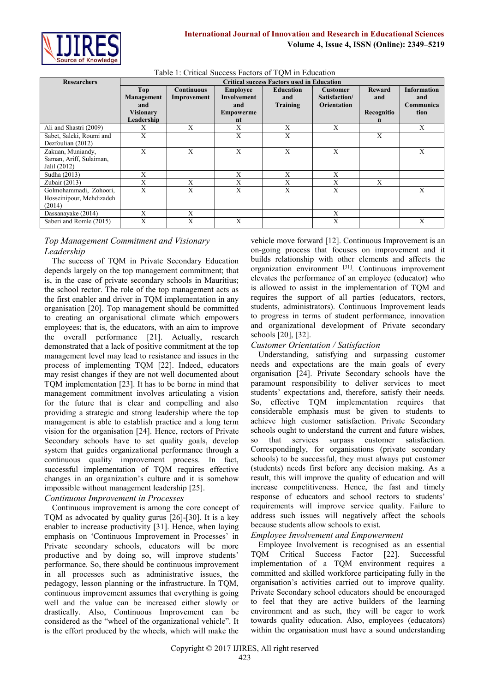

| <b>Researchers</b>       | <b>Critical success Factors used in Education</b> |                   |                    |                  |                    |               |                    |
|--------------------------|---------------------------------------------------|-------------------|--------------------|------------------|--------------------|---------------|--------------------|
|                          | Top                                               | <b>Continuous</b> | <b>Employee</b>    | <b>Education</b> | <b>Customer</b>    | <b>Reward</b> | <b>Information</b> |
|                          | Management                                        | Improvement       | <b>Involvement</b> | and              | Satisfaction/      | and           | and                |
|                          | and                                               |                   | and                | Training         | <b>Orientation</b> |               | Communica          |
|                          | <b>Visionary</b>                                  |                   | <b>Empowerme</b>   |                  |                    | Recognitio    | tion               |
|                          | Leadership                                        |                   | nt                 |                  |                    | n             |                    |
| Ali and Shastri (2009)   | X                                                 | X                 | X                  | X                | X                  |               | X                  |
| Sabet, Saleki, Roumi and | X                                                 |                   | X                  | X                |                    | X             |                    |
| Dezfoulian (2012)        |                                                   |                   |                    |                  |                    |               |                    |
| Zakuan, Muniandy,        | X                                                 | X                 | X                  | X                | X                  |               | X                  |
| Saman, Ariff, Sulaiman,  |                                                   |                   |                    |                  |                    |               |                    |
| Jalil (2012)             |                                                   |                   |                    |                  |                    |               |                    |
| Sudha (2013)             | X                                                 |                   | X                  | X                | X                  |               |                    |
| Zubair (2013)            | X                                                 | X                 | X                  | X                | X                  | X             |                    |
| Golmohammadi, Zohoori,   | X                                                 | X                 | $\mathbf{X}$       | X                | $\mathbf{X}$       |               | X                  |
| Hosseinipour, Mehdizadeh |                                                   |                   |                    |                  |                    |               |                    |
| (2014)                   |                                                   |                   |                    |                  |                    |               |                    |
| Dassanayake (2014)       | X                                                 | X                 |                    |                  | X                  |               |                    |
| Saberi and Romle (2015)  | A                                                 | X                 | X                  |                  | X                  |               | X                  |

# *Top Management Commitment and Visionary Leadership*

The success of TQM in Private Secondary Education depends largely on the top management commitment; that is, in the case of private secondary schools in Mauritius; the school rector. The role of the top management acts as the first enabler and driver in TQM implementation in any organisation [20]. Top management should be committed to creating an organisational climate which empowers employees; that is, the educators, with an aim to improve the overall performance [21]. Actually, research demonstrated that a lack of positive commitment at the top management level may lead to resistance and issues in the process of implementing TQM [22]. Indeed, educators may resist changes if they are not well documented about TQM implementation [23]. It has to be borne in mind that management commitment involves articulating a vision for the future that is clear and compelling and also providing a strategic and strong leadership where the top management is able to establish practice and a long term vision for the organisation [24]. Hence, rectors of Private Secondary schools have to set quality goals, develop system that guides organizational performance through a continuous quality improvement process. In fact, successful implementation of TQM requires effective changes in an organization's culture and it is somehow impossible without management leadership [25].

# *Continuous Improvement in Processes*

Continuous improvement is among the core concept of TQM as advocated by quality gurus [26]-[30]. It is a key enabler to increase productivity [31]. Hence, when laying emphasis on 'Continuous Improvement in Processes' in Private secondary schools, educators will be more productive and by doing so, will improve students' performance. So, there should be continuous improvement in all processes such as administrative issues, the pedagogy, lesson planning or the infrastructure. In TQM, continuous improvement assumes that everything is going well and the value can be increased either slowly or drastically. Also, Continuous Improvement can be considered as the "wheel of the organizational vehicle". It is the effort produced by the wheels, which will make the

vehicle move forward [12]. Continuous Improvement is an on-going process that focuses on improvement and it builds relationship with other elements and affects the organization environment [31]. Continuous improvement elevates the performance of an employee (educator) who is allowed to assist in the implementation of TQM and requires the support of all parties (educators, rectors, students, administrators). Continuous Improvement leads to progress in terms of student performance, innovation and organizational development of Private secondary schools [20], [32].

# *Customer Orientation / Satisfaction*

Understanding, satisfying and surpassing customer needs and expectations are the main goals of every organisation [24]. Private Secondary schools have the paramount responsibility to deliver services to meet students' expectations and, therefore, satisfy their needs. So, effective TQM implementation requires that considerable emphasis must be given to students to achieve high customer satisfaction. Private Secondary schools ought to understand the current and future wishes, so that services surpass customer satisfaction. Correspondingly, for organisations (private secondary schools) to be successful, they must always put customer (students) needs first before any decision making. As a result, this will improve the quality of education and will increase competitiveness. Hence, the fast and timely response of educators and school rectors to students' requirements will improve service quality. Failure to address such issues will negatively affect the schools because students allow schools to exist.

#### *Employee Involvement and Empowerment*

Employee Involvement is recognised as an essential TQM Critical Success Factor [22]. Successful implementation of a TQM environment requires a committed and skilled workforce participating fully in the organisation's activities carried out to improve quality. Private Secondary school educators should be encouraged to feel that they are active builders of the learning environment and as such, they will be eager to work towards quality education. Also, employees (educators) within the organisation must have a sound understanding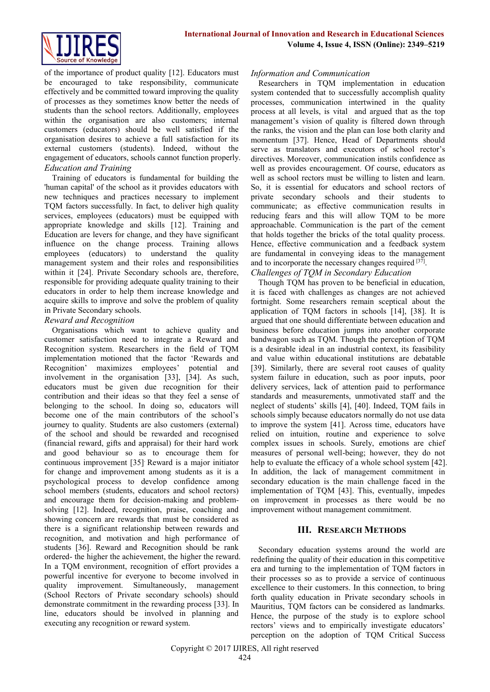

of the importance of product quality [12]. Educators must be encouraged to take responsibility, communicate effectively and be committed toward improving the quality of processes as they sometimes know better the needs of students than the school rectors. Additionally, employees within the organisation are also customers; internal customers (educators) should be well satisfied if the organisation desires to achieve a full satisfaction for its external customers (students). Indeed, without the engagement of educators, schools cannot function properly. *Education and Training*

Training of educators is fundamental for building the 'human capital' of the school as it provides educators with new techniques and practices necessary to implement TQM factors successfully. In fact, to deliver high quality services, employees (educators) must be equipped with appropriate knowledge and skills [12]. Training and Education are levers for change, and they have significant influence on the change process. Training allows employees (educators) to understand the quality management system and their roles and responsibilities within it [24]. Private Secondary schools are, therefore, responsible for providing adequate quality training to their educators in order to help them increase knowledge and acquire skills to improve and solve the problem of quality in Private Secondary schools.

# *Reward and Recognition*

Organisations which want to achieve quality and customer satisfaction need to integrate a Reward and Recognition system. Researchers in the field of TQM implementation motioned that the factor 'Rewards and Recognition' maximizes employees' potential and involvement in the organisation [33], [34]. As such, educators must be given due recognition for their contribution and their ideas so that they feel a sense of belonging to the school. In doing so, educators will become one of the main contributors of the school's journey to quality. Students are also customers (external) of the school and should be rewarded and recognised (financial reward, gifts and appraisal) for their hard work and good behaviour so as to encourage them for continuous improvement [35]. Reward is a major initiator for change and improvement among students as it is a psychological process to develop confidence among school members (students, educators and school rectors) and encourage them for decision-making and problemsolving [12]. Indeed, recognition, praise, coaching and showing concern are rewards that must be considered as there is a significant relationship between rewards and recognition, and motivation and high performance of students [36]. Reward and Recognition should be rank ordered- the higher the achievement, the higher the reward. In a TQM environment, recognition of effort provides a powerful incentive for everyone to become involved in quality improvement. Simultaneously, management (School Rectors of Private secondary schools) should demonstrate commitment in the rewarding process [33]. In line, educators should be involved in planning and executing any recognition or reward system.

#### *Information and Communication*

Researchers in TQM implementation in education system contended that to successfully accomplish quality processes, communication intertwined in the quality process at all levels, is vital and argued that as the top management's vision of quality is filtered down through the ranks, the vision and the plan can lose both clarity and momentum [37]. Hence, Head of Departments should serve as translators and executors of school rector's directives. Moreover, communication instils confidence as well as provides encouragement. Of course, educators as well as school rectors must be willing to listen and learn. So, it is essential for educators and school rectors of private secondary schools and their students to communicate; as effective communication results in reducing fears and this will allow TQM to be more approachable. Communication is the part of the cement that holds together the bricks of the total quality process. Hence, effective communication and a feedback system are fundamental in conveying ideas to the management and to incorporate the necessary changes required [37].

# *Challenges of TQM in Secondary Education*

Though TQM has proven to be beneficial in education, it is faced with challenges as changes are not achieved fortnight. Some researchers remain sceptical about the application of TQM factors in schools [14], [38]. It is argued that one should differentiate between education and business before education jumps into another corporate bandwagon such as TQM. Though the perception of TQM is a desirable ideal in an industrial context, its feasibility and value within educational institutions are debatable [39]. Similarly, there are several root causes of quality system failure in education, such as poor inputs, poor delivery services, lack of attention paid to performance standards and measurements, unmotivated staff and the neglect of students' skills [4], [40]. Indeed, TQM fails in schools simply because educators normally do not use data to improve the system [41]. Across time, educators have relied on intuition, routine and experience to solve complex issues in schools. Surely, emotions are chief measures of personal well-being; however, they do not help to evaluate the efficacy of a whole school system [42]. In addition, the lack of management commitment in secondary education is the main challenge faced in the implementation of TQM [43]. This, eventually, impedes on improvement in processes as there would be no improvement without management commitment.

# **III. RESEARCH METHODS**

Secondary education systems around the world are redefining the quality of their education in this competitive era and turning to the implementation of TQM factors in their processes so as to provide a service of continuous excellence to their customers. In this connection, to bring forth quality education in Private secondary schools in Mauritius, TQM factors can be considered as landmarks. Hence, the purpose of the study is to explore school rectors' views and to empirically investigate educators' perception on the adoption of TQM Critical Success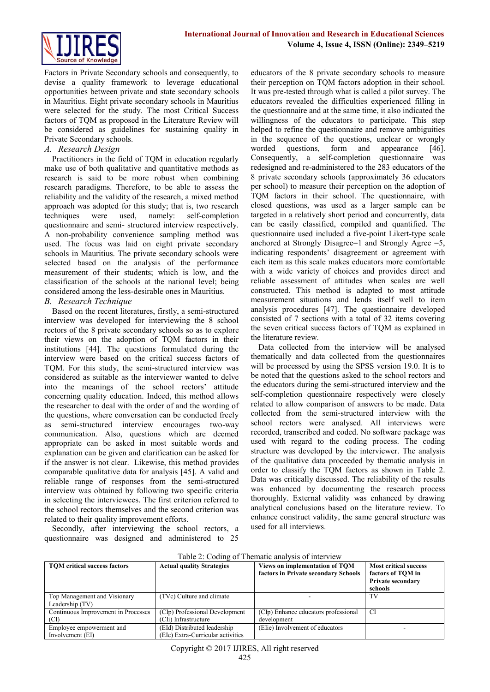



Factors in Private Secondary schools and consequently, to devise a quality framework to leverage educational opportunities between private and state secondary schools in Mauritius. Eight private secondary schools in Mauritius were selected for the study. The most Critical Success factors of TQM as proposed in the Literature Review will be considered as guidelines for sustaining quality in Private Secondary schools.

#### *A. Research Design*

Practitioners in the field of TQM in education regularly make use of both qualitative and quantitative methods as research is said to be more robust when combining research paradigms. Therefore, to be able to assess the reliability and the validity of the research, a mixed method approach was adopted for this study; that is, two research techniques were used, namely: self-completion questionnaire and semi- structured interview respectively. A non-probability convenience sampling method was used. The focus was laid on eight private secondary schools in Mauritius. The private secondary schools were selected based on the analysis of the performance measurement of their students; which is low, and the classification of the schools at the national level; being considered among the less-desirable ones in Mauritius.

#### *B. Research Technique*

Based on the recent literatures, firstly, a semi-structured interview was developed for interviewing the 8 school rectors of the 8 private secondary schools so as to explore their views on the adoption of TQM factors in their institutions [44]. The questions formulated during the interview were based on the critical success factors of TQM. For this study, the semi-structured interview was considered as suitable as the interviewer wanted to delve into the meanings of the school rectors' attitude concerning quality education. Indeed, this method allows the researcher to deal with the order of and the wording of the questions, where conversation can be conducted freely as semi-structured interview encourages two-way communication. Also, questions which are deemed appropriate can be asked in most suitable words and explanation can be given and clarification can be asked for if the answer is not clear. Likewise, this method provides comparable qualitative data for analysis [45]. A valid and reliable range of responses from the semi-structured interview was obtained by following two specific criteria in selecting the interviewees. The first criterion referred to the school rectors themselves and the second criterion was related to their quality improvement efforts.

Secondly, after interviewing the school rectors, a questionnaire was designed and administered to 25

educators of the 8 private secondary schools to measure their perception on TQM factors adoption in their school. It was pre-tested through what is called a pilot survey. The educators revealed the difficulties experienced filling in the questionnaire and at the same time, it also indicated the willingness of the educators to participate. This step helped to refine the questionnaire and remove ambiguities in the sequence of the questions, unclear or wrongly worded questions, form and appearance [46]. Consequently, a self-completion questionnaire was redesigned and re-administered to the 283 educators of the 8 private secondary schools (approximately 36 educators per school) to measure their perception on the adoption of TQM factors in their school. The questionnaire, with closed questions, was used as a larger sample can be targeted in a relatively short period and concurrently, data can be easily classified, compiled and quantified. The questionnaire used included a five-point Likert-type scale anchored at Strongly Disagree=1 and Strongly Agree =5, indicating respondents' disagreement or agreement with each item as this scale makes educators more comfortable with a wide variety of choices and provides direct and reliable assessment of attitudes when scales are well constructed. This method is adapted to most attitude measurement situations and lends itself well to item analysis procedures [47]. The questionnaire developed consisted of 7 sections with a total of 32 items covering the seven critical success factors of TQM as explained in the literature review.

Data collected from the interview will be analysed thematically and data collected from the questionnaires will be processed by using the SPSS version 19.0. It is to be noted that the questions asked to the school rectors and the educators during the semi-structured interview and the self-completion questionnaire respectively were closely related to allow comparison of answers to be made. Data collected from the semi-structured interview with the school rectors were analysed. All interviews were recorded, transcribed and coded. No software package was used with regard to the coding process. The coding structure was developed by the interviewer. The analysis of the qualitative data proceeded by thematic analysis in order to classify the TQM factors as shown in Table 2. Data was critically discussed. The reliability of the results was enhanced by documenting the research process thoroughly. External validity was enhanced by drawing analytical conclusions based on the literature review. To enhance construct validity, the same general structure was used for all interviews.

| Table 2: Coding of Thematic analysis of interview |                                   |                                      |                              |  |
|---------------------------------------------------|-----------------------------------|--------------------------------------|------------------------------|--|
| <b>TOM</b> critical success factors               | <b>Actual quality Strategies</b>  | Views on implementation of TOM       | <b>Most critical success</b> |  |
|                                                   |                                   | factors in Private secondary Schools | factors of TOM in            |  |
|                                                   |                                   |                                      | <b>Private secondary</b>     |  |
|                                                   |                                   |                                      | schools                      |  |
| Top Management and Visionary                      | (TVc) Culture and climate         |                                      | TV                           |  |
| Leadership (TV)                                   |                                   |                                      |                              |  |
| Continuous Improvement in Processes               | (CIp) Professional Development    | (CIp) Enhance educators professional | CI                           |  |
| (CI)                                              | (CII) Infrastructure              | development                          |                              |  |
| Employee empowerment and                          | (EId) Distributed leadership      | (Elie) Involvement of educators      |                              |  |
| Involvement (EI)                                  | (EIe) Extra-Curricular activities |                                      |                              |  |

#### Table 2: Coding of Thematic analysis of interview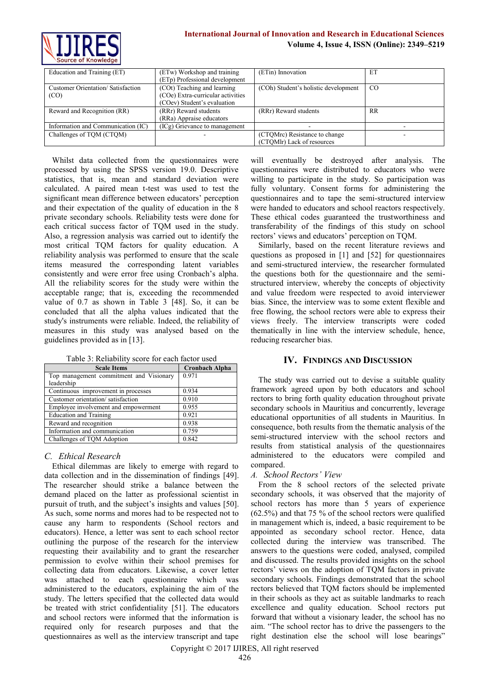

| Education and Training (ET)        | (ETw) Workshop and training       | (ETin) Innovation                    | ET        |
|------------------------------------|-----------------------------------|--------------------------------------|-----------|
|                                    | (ETp) Professional development    |                                      |           |
| Customer Orientation/Satisfaction  | (COt) Teaching and learning       | (COh) Student's holistic development | CO        |
| (CO)                               | (COe) Extra-curricular activities |                                      |           |
|                                    | (COev) Student's evaluation       |                                      |           |
| Reward and Recognition (RR)        | (RRr) Reward students             | (RRr) Reward students                | <b>RR</b> |
|                                    | (RRa) Appraise educators          |                                      |           |
| Information and Communication (IC) | (ICg) Grievance to management     |                                      |           |
| Challenges of TQM (CTQM)           |                                   | (CTQMrc) Resistance to change        |           |
|                                    |                                   | (CTOMlr) Lack of resources           |           |

Whilst data collected from the questionnaires were processed by using the SPSS version 19.0. Descriptive statistics, that is, mean and standard deviation were calculated. A paired mean t-test was used to test the significant mean difference between educators' perception and their expectation of the quality of education in the 8 private secondary schools. Reliability tests were done for each critical success factor of TQM used in the study. Also, a regression analysis was carried out to identify the most critical TQM factors for quality education. A reliability analysis was performed to ensure that the scale items measured the corresponding latent variables consistently and were error free using Cronbach's alpha. All the reliability scores for the study were within the acceptable range; that is, exceeding the recommended value of 0.7 as shown in Table 3 [48]. So, it can be concluded that all the alpha values indicated that the study's instruments were reliable. Indeed, the reliability of measures in this study was analysed based on the guidelines provided as in [13].

| <b>Scale Items</b>                      | <b>Cronbach Alpha</b> |  |  |
|-----------------------------------------|-----------------------|--|--|
| Top management commitment and Visionary | 0.971                 |  |  |
| leadership                              |                       |  |  |
| Continuous improvement in processes     | 0.934                 |  |  |
| Customer orientation/satisfaction       | 0.910                 |  |  |
| Employee involvement and empowerment    | 0.955                 |  |  |
| <b>Education and Training</b>           | 0.921                 |  |  |
| Reward and recognition                  | 0.938                 |  |  |
| Information and communication           | 0.759                 |  |  |
| Challenges of TOM Adontion              | 0.842                 |  |  |

Table 3: Reliability score for each factor used

#### *C. Ethical Research*

Challenges of TQM Adoption

Ethical dilemmas are likely to emerge with regard to data collection and in the dissemination of findings [49]. The researcher should strike a balance between the demand placed on the latter as professional scientist in pursuit of truth, and the subject's insights and values [50]. As such, some norms and mores had to be respected not to cause any harm to respondents (School rectors and educators). Hence, a letter was sent to each school rector outlining the purpose of the research for the interview requesting their availability and to grant the researcher permission to evolve within their school premises for collecting data from educators. Likewise, a cover letter was attached to each questionnaire which was administered to the educators, explaining the aim of the study. The letters specified that the collected data would be treated with strict confidentiality [51]. The educators and school rectors were informed that the information is required only for research purposes and that the questionnaires as well as the interview transcript and tape

will eventually be destroyed after analysis. The questionnaires were distributed to educators who were willing to participate in the study. So participation was fully voluntary. Consent forms for administering the questionnaires and to tape the semi-structured interview were handed to educators and school reactors respectively. These ethical codes guaranteed the trustworthiness and transferability of the findings of this study on school rectors' views and educators' perception on TQM.

Similarly, based on the recent literature reviews and questions as proposed in [1] and [52] for questionnaires and semi-structured interview, the researcher formulated the questions both for the questionnaire and the semistructured interview, whereby the concepts of objectivity and value freedom were respected to avoid interviewer bias. Since, the interview was to some extent flexible and free flowing, the school rectors were able to express their views freely. The interview transcripts were coded thematically in line with the interview schedule, hence, reducing researcher bias.

# **IV. FINDINGS AND DISCUSSION**

The study was carried out to devise a suitable quality framework agreed upon by both educators and school rectors to bring forth quality education throughout private secondary schools in Mauritius and concurrently, leverage educational opportunities of all students in Mauritius. In consequence, both results from the thematic analysis of the semi-structured interview with the school rectors and results from statistical analysis of the questionnaires administered to the educators were compiled and compared.

#### *A. School Rectors' View*

From the 8 school rectors of the selected private secondary schools, it was observed that the majority of school rectors has more than 5 years of experience (62.5%) and that 75 % of the school rectors were qualified in management which is, indeed, a basic requirement to be appointed as secondary school rector. Hence, data collected during the interview was transcribed. The answers to the questions were coded, analysed, compiled and discussed. The results provided insights on the school rectors' views on the adoption of TQM factors in private secondary schools. Findings demonstrated that the school rectors believed that TQM factors should be implemented in their schools as they act as suitable landmarks to reach excellence and quality education. School rectors put forward that without a visionary leader, the school has no aim. "The school rector has to drive the passengers to the right destination else the school will lose bearings"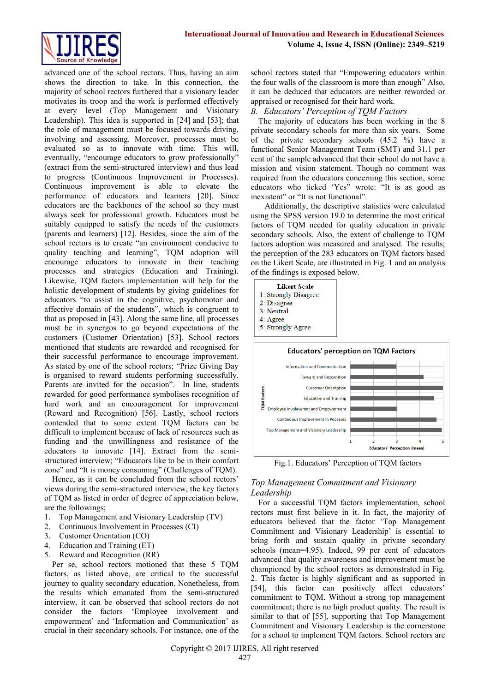

advanced one of the school rectors. Thus, having an aim shows the direction to take. In this connection, the majority of school rectors furthered that a visionary leader motivates its troop and the work is performed effectively at every level (Top Management and Visionary Leadership). This idea is supported in [24] and [53]; that the role of management must be focused towards driving, involving and assessing. Moreover, processes must be evaluated so as to innovate with time. This will, eventually, "encourage educators to grow professionally" (extract from the semi-structured interview) and thus lead to progress (Continuous Improvement in Processes). Continuous improvement is able to elevate the performance of educators and learners [20]. Since educators are the backbones of the school so they must always seek for professional growth. Educators must be suitably equipped to satisfy the needs of the customers (parents and learners) [12]. Besides, since the aim of the school rectors is to create "an environment conducive to quality teaching and learning", TQM adoption will encourage educators to innovate in their teaching processes and strategies (Education and Training). Likewise, TQM factors implementation will help for the holistic development of students by giving guidelines for educators "to assist in the cognitive, psychomotor and affective domain of the students", which is congruent to that as proposed in [43]. Along the same line, all processes must be in synergos to go beyond expectations of the customers (Customer Orientation) [53]. School rectors mentioned that students are rewarded and recognised for their successful performance to encourage improvement. As stated by one of the school rectors; "Prize Giving Day is organised to reward students performing successfully. Parents are invited for the occasion". In line, students rewarded for good performance symbolises recognition of hard work and an encouragement for improvement (Reward and Recognition) [56]. Lastly, school rectors contended that to some extent TQM factors can be difficult to implement because of lack of resources such as funding and the unwillingness and resistance of the educators to innovate [14]. Extract from the semistructured interview; "Educators like to be in their comfort zone" and "It is money consuming" (Challenges of TQM).

Hence, as it can be concluded from the school rectors' views during the semi-structured interview, the key factors of TQM as listed in order of degree of appreciation below, are the followings;

- 1. Top Management and Visionary Leadership (TV)
- 2. Continuous Involvement in Processes (CI)
- 3. Customer Orientation (CO)
- 4. Education and Training (ET)
- 5. Reward and Recognition (RR)

Per se, school rectors motioned that these 5 TQM factors, as listed above, are critical to the successful journey to quality secondary education. Nonetheless, from the results which emanated from the semi-structured interview, it can be observed that school rectors do not consider the factors 'Employee involvement and empowerment' and 'Information and Communication' as crucial in their secondary schools. For instance, one of the school rectors stated that "Empowering educators within the four walls of the classroom is more than enough" Also, it can be deduced that educators are neither rewarded or appraised or recognised for their hard work.

#### *B. Educators' Perception of TQM Factors*

The majority of educators has been working in the 8 private secondary schools for more than six years. Some of the private secondary schools (45.2 %) have a functional Senior Management Team (SMT) and 31.1 per cent of the sample advanced that their school do not have a mission and vision statement. Though no comment was required from the educators concerning this section, some educators who ticked 'Yes" wrote: "It is as good as inexistent" or "It is not functional".

 Additionally, the descriptive statistics were calculated using the SPSS version 19.0 to determine the most critical factors of TQM needed for quality education in private secondary schools. Also, the extent of challenge to TQM factors adoption was measured and analysed. The results; the perception of the 283 educators on TQM factors based on the Likert Scale, are illustrated in Fig. 1 and an analysis of the findings is exposed below.



5: Strongly Agree



Fig.1. Educators' Perception of TQM factors

# *Top Management Commitment and Visionary Leadership*

For a successful TQM factors implementation, school rectors must first believe in it. In fact, the majority of educators believed that the factor 'Top Management Commitment and Visionary Leadership' is essential to bring forth and sustain quality in private secondary schools (mean=4.95). Indeed, 99 per cent of educators advanced that quality awareness and improvement must be championed by the school rectors as demonstrated in Fig. 2. This factor is highly significant and as supported in [54], this factor can positively affect educators' commitment to TQM. Without a strong top management commitment; there is no high product quality. The result is similar to that of [55], supporting that Top Management Commitment and Visionary Leadership is the cornerstone for a school to implement TQM factors. School rectors are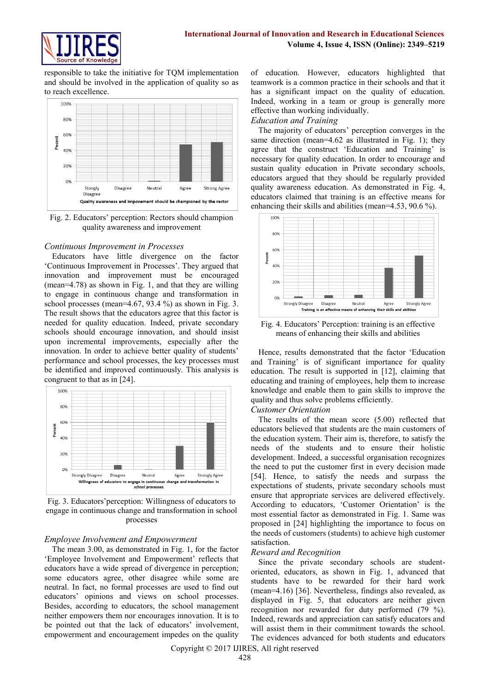

responsible to take the initiative for TQM implementation and should be involved in the application of quality so as to reach excellence.



Fig. 2. Educators' perception: Rectors should champion quality awareness and improvement

# *Continuous Improvement in Processes*

Educators have little divergence on the factor 'Continuous Improvement in Processes'. They argued that innovation and improvement must be encouraged (mean=4.78) as shown in Fig. 1, and that they are willing to engage in continuous change and transformation in school processes (mean=4.67, 93.4 %) as shown in Fig. 3. The result shows that the educators agree that this factor is needed for quality education. Indeed, private secondary schools should encourage innovation, and should insist upon incremental improvements, especially after the innovation. In order to achieve better quality of students' performance and school processes, the key processes must be identified and improved continuously. This analysis is congruent to that as in [24].



Fig. 3. Educators'perception: Willingness of educators to engage in continuous change and transformation in school processes

#### *Employee Involvement and Empowerment*

The mean 3.00, as demonstrated in Fig. 1, for the factor 'Employee Involvement and Empowerment' reflects that educators have a wide spread of divergence in perception; some educators agree, other disagree while some are neutral. In fact, no formal processes are used to find out educators' opinions and views on school processes. Besides, according to educators, the school management neither empowers them nor encourages innovation. It is to be pointed out that the lack of educators' involvement, empowerment and encouragement impedes on the quality

of education. However, educators highlighted that teamwork is a common practice in their schools and that it has a significant impact on the quality of education. Indeed, working in a team or group is generally more effective than working individually.

# *Education and Training*

The majority of educators' perception converges in the same direction (mean=4.62 as illustrated in Fig. 1); they agree that the construct 'Education and Training' is necessary for quality education. In order to encourage and sustain quality education in Private secondary schools, educators argued that they should be regularly provided quality awareness education. As demonstrated in Fig. 4, educators claimed that training is an effective means for enhancing their skills and abilities (mean=4.53, 90.6 %).



Fig. 4. Educators' Perception: training is an effective means of enhancing their skills and abilities

Hence, results demonstrated that the factor 'Education and Training' is of significant importance for quality education. The result is supported in [12], claiming that educating and training of employees, help them to increase knowledge and enable them to gain skills to improve the quality and thus solve problems efficiently.

#### *Customer Orientation*

The results of the mean score (5.00) reflected that educators believed that students are the main customers of the education system. Their aim is, therefore, to satisfy the needs of the students and to ensure their holistic development. Indeed, a successful organisation recognizes the need to put the customer first in every decision made [54]. Hence, to satisfy the needs and surpass the expectations of students, private secondary schools must ensure that appropriate services are delivered effectively. According to educators, 'Customer Orientation' is the most essential factor as demonstrated in Fig. 1. Same was proposed in [24] highlighting the importance to focus on the needs of customers (students) to achieve high customer satisfaction.

#### *Reward and Recognition*

Since the private secondary schools are studentoriented, educators, as shown in Fig. 1, advanced that students have to be rewarded for their hard work (mean=4.16) [36]. Nevertheless, findings also revealed, as displayed in Fig. 5, that educators are neither given recognition nor rewarded for duty performed (79 %). Indeed, rewards and appreciation can satisfy educators and will assist them in their commitment towards the school. The evidences advanced for both students and educators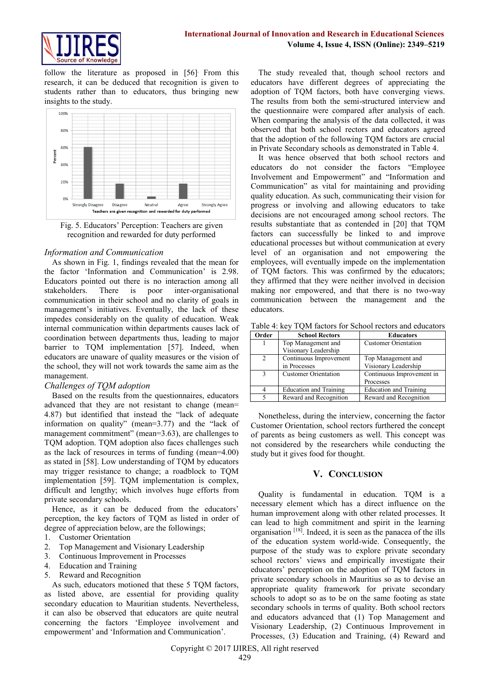

follow the literature as proposed in [56]. From this research, it can be deduced that recognition is given to students rather than to educators, thus bringing new insights to the study.



Fig. 5. Educators' Perception: Teachers are given recognition and rewarded for duty performed

#### *Information and Communication*

As shown in Fig. 1, findings revealed that the mean for the factor 'Information and Communication' is 2.98. Educators pointed out there is no interaction among all stakeholders. There is poor inter-organisational communication in their school and no clarity of goals in management's initiatives. Eventually, the lack of these impedes considerably on the quality of education. Weak internal communication within departments causes lack of coordination between departments thus, leading to major barrier to TQM implementation [57]. Indeed, when educators are unaware of quality measures or the vision of the school, they will not work towards the same aim as the management.

#### *Challenges of TQM adoption*

Based on the results from the questionnaires, educators advanced that they are not resistant to change (mean= 4.87) but identified that instead the "lack of adequate information on quality" (mean=3.77) and the "lack of management commitment" (mean=3.63), are challenges to TQM adoption. TQM adoption also faces challenges such as the lack of resources in terms of funding (mean=4.00) as stated in [58]. Low understanding of TQM by educators may trigger resistance to change; a roadblock to TQM implementation [59]. TQM implementation is complex, difficult and lengthy; which involves huge efforts from private secondary schools.

Hence, as it can be deduced from the educators' perception, the key factors of TQM as listed in order of degree of appreciation below, are the followings;

- 1. Customer Orientation
- 2. Top Management and Visionary Leadership
- 3. Continuous Improvement in Processes
- 4. Education and Training
- 5. Reward and Recognition

As such, educators motioned that these 5 TQM factors, as listed above, are essential for providing quality secondary education to Mauritian students. Nevertheless, it can also be observed that educators are quite neutral concerning the factors 'Employee involvement and empowerment' and 'Information and Communication'.

The study revealed that, though school rectors and educators have different degrees of appreciating the adoption of TQM factors, both have converging views. The results from both the semi-structured interview and the questionnaire were compared after analysis of each. When comparing the analysis of the data collected, it was observed that both school rectors and educators agreed that the adoption of the following TQM factors are crucial in Private Secondary schools as demonstrated in Table 4.

It was hence observed that both school rectors and educators do not consider the factors "Employee Involvement and Empowerment" and "Information and Communication" as vital for maintaining and providing quality education. As such, communicating their vision for progress or involving and allowing educators to take decisions are not encouraged among school rectors. The results substantiate that as contended in [20] that TQM factors can successfully be linked to and improve educational processes but without communication at every level of an organisation and not empowering the employees, will eventually impede on the implementation of TQM factors. This was confirmed by the educators; they affirmed that they were neither involved in decision making nor empowered, and that there is no two-way communication between the management and the educators.

Table 4: key TQM factors for School rectors and educators

| Order          | <b>School Rectors</b>         | <b>Educators</b>              |
|----------------|-------------------------------|-------------------------------|
|                | Top Management and            | <b>Customer Orientation</b>   |
|                | Visionary Leadership          |                               |
| $\mathfrak{D}$ | Continuous Improvement        | Top Management and            |
|                | in Processes                  | Visionary Leadership          |
| $\mathcal{R}$  | <b>Customer Orientation</b>   | Continuous Improvement in     |
|                |                               | Processes                     |
|                | <b>Education and Training</b> | <b>Education and Training</b> |
|                | Reward and Recognition        | Reward and Recognition        |

Nonetheless, during the interview, concerning the factor Customer Orientation, school rectors furthered the concept of parents as being customers as well. This concept was not considered by the researchers while conducting the study but it gives food for thought.

# **V. CONCLUSION**

Quality is fundamental in education. TQM is a necessary element which has a direct influence on the human improvement along with other related processes. It can lead to high commitment and spirit in the learning organisation<sup>[18]</sup>. Indeed, it is seen as the panacea of the ills of the education system world-wide. Consequently, the purpose of the study was to explore private secondary school rectors' views and empirically investigate their educators' perception on the adoption of TQM factors in private secondary schools in Mauritius so as to devise an appropriate quality framework for private secondary schools to adopt so as to be on the same footing as state secondary schools in terms of quality. Both school rectors and educators advanced that (1) Top Management and Visionary Leadership, (2) Continuous Improvement in Processes, (3) Education and Training, (4) Reward and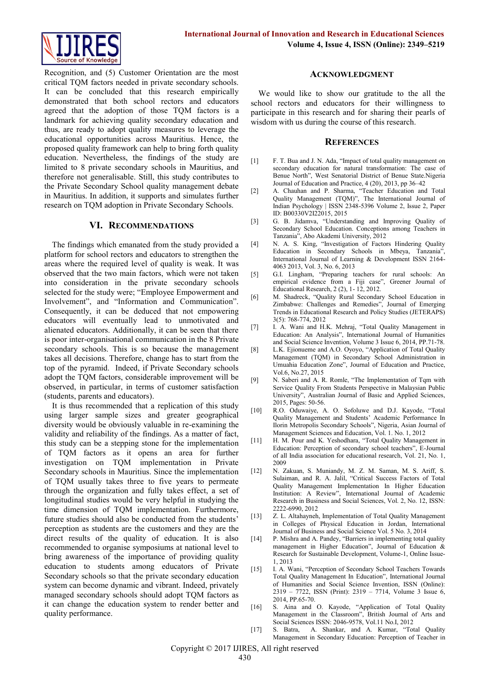

Recognition, and (5) Customer Orientation are the most critical TQM factors needed in private secondary schools. It can be concluded that this research empirically demonstrated that both school rectors and educators agreed that the adoption of those TQM factors is a landmark for achieving quality secondary education and thus, are ready to adopt quality measures to leverage the educational opportunities across Mauritius. Hence, the proposed quality framework can help to bring forth quality education. Nevertheless, the findings of the study are limited to 8 private secondary schools in Mauritius, and therefore not generalisable. Still, this study contributes to the Private Secondary School quality management debate in Mauritius. In addition, it supports and simulates further research on TQM adoption in Private Secondary Schools.

# **VI. RECOMMENDATIONS**

The findings which emanated from the study provided a platform for school rectors and educators to strengthen the areas where the required level of quality is weak. It was observed that the two main factors, which were not taken into consideration in the private secondary schools selected for the study were; "Employee Empowerment and Involvement", and "Information and Communication". Consequently, it can be deduced that not empowering educators will eventually lead to unmotivated and alienated educators. Additionally, it can be seen that there is poor inter-organisational communication in the 8 Private secondary schools. This is so because the management takes all decisions. Therefore, change has to start from the top of the pyramid. Indeed, if Private Secondary schools adopt the TQM factors, considerable improvement will be observed, in particular, in terms of customer satisfaction (students, parents and educators).

It is thus recommended that a replication of this study using larger sample sizes and greater geographical diversity would be obviously valuable in re-examining the validity and reliability of the findings. As a matter of fact, this study can be a stepping stone for the implementation of TQM factors as it opens an area for further investigation on TQM implementation in Private Secondary schools in Mauritius. Since the implementation of TQM usually takes three to five years to permeate through the organization and fully takes effect, a set of longitudinal studies would be very helpful in studying the time dimension of TQM implementation. Furthermore, future studies should also be conducted from the students' perception as students are the customers and they are the direct results of the quality of education. It is also recommended to organise symposiums at national level to bring awareness of the importance of providing quality education to students among educators of Private Secondary schools so that the private secondary education system can become dynamic and vibrant. Indeed, privately managed secondary schools should adopt TQM factors as it can change the education system to render better and quality performance.

#### **ACKNOWLEDGMENT**

We would like to show our gratitude to the all the school rectors and educators for their willingness to participate in this research and for sharing their pearls of wisdom with us during the course of this research.

#### **REFERENCES**

- [1] F. T. Bua and J. N. Ada, "Impact of total quality management on secondary education for natural transformation: The case of Benue North", West Senatorial District of Benue State.Nigeria Journal of Education and Practice, 4 (20), 2013, pp 36–42
- [2] A. Chauhan and P. Sharma, "Teacher Education and Total Quality Management (TQM)", The International Journal of Indian Psychology | ISSN 2348-5396 Volume 2, Issue 2, Paper ID: B00330V2I22015, 2015
- [3] G. B. Jidamva, "Understanding and Improving Quality of Secondary School Education. Conceptions among Teachers in Tanzania", Abo Akademi University, 2012
- [4] N. A. S. King, "Investigation of Factors Hindering Quality Education in Secondary Schools in Mbeya, Tanzania", International Journal of Learning & Development ISSN 2164- 4063 2013, Vol. 3, No. 6, 2013
- [5] G.I. Lingham, "Preparing teachers for rural schools: An empirical evidence from a Fiji case", Greener Journal of Educational Research,  $2(2)$ ,  $1 - 12$ ,  $2012$ .
- [6] M. Shadreck, "Quality Rural Secondary School Education in Zimbabwe: Challenges and Remedies", Journal of Emerging Trends in Educational Research and Policy Studies (JETERAPS) 3(5): 768-774, 2012
- [7] I. A. Wani and H.K. Mehraj, "Total Quality Management in Education: An Analysis", International Journal of Humanities and Social Science Invention, Volume 3 Issue 6, 2014, PP.71-78.
- [8] L.K. Ejionueme and A.O. Oyoyo, "Application of Total Quality Management (TQM) in Secondary School Administration in Umuahia Education Zone", Journal of Education and Practice, Vol.6, No.27, 2015
- [9] N. Saberi and A. R. Romle, "The Implementation of Tqm with Service Quality From Students Perspective in Malaysian Public University", Australian Journal of Basic and Applied Sciences, 2015, Pages: 50-56.
- [10] R.O. Oduwaiye, A. O. Sofoluwe and D.J. Kayode, "Total Quality Management and Students' Academic Performance In Ilorin Metropolis Secondary Schools", Nigeria, Asian Journal of Management Sciences and Education, Vol. 1. No. 1, 2012
- [11] H. M. Pour and K. Yeshodhara, "Total Quality Management in Education: Perception of secondary school teachers", E-Journal of all India association for educational research, Vol. 21, No. 1, 2009
- [12] N. Zakuan, S. Muniandy, M. Z. M. Saman, M. S. Ariff, S. Sulaiman, and R. A. Jalil, "Critical Success Factors of Total Quality Management Implementation In Higher Education Institution: A Review", International Journal of Academic Research in Business and Social Sciences, Vol. 2, No. 12, ISSN: 2222-6990, 2012
- [13] Z. L. Altahayneh, Implementation of Total Quality Management in Colleges of Physical Education in Jordan, International Journal of Business and Social Science Vol. 5 No. 3, 2014
- [14] P. Mishra and A. Pandey, "Barriers in implementing total quality management in Higher Education", Journal of Education & Research for Sustainable Development, Volume-1, Online Issue-1, 2013
- [15] I. A. Wani, "Perception of Secondary School Teachers Towards Total Quality Management In Education", International Journal of Humanities and Social Science Invention, ISSN (Online): 2319 – 7722, ISSN (Print): 2319 – 7714, Volume 3 Issue 6, 2014, PP.65-70.
- [16] S. Aina and O. Kayode, "Application of Total Quality Management in the Classroom", British Journal of Arts and Social Sciences ISSN: 2046-9578, Vol.11 No.I, 2012
- [17] S. Batra, A. Shankar, and A. Kumar, "Total Quality Management in Secondary Education: Perception of Teacher in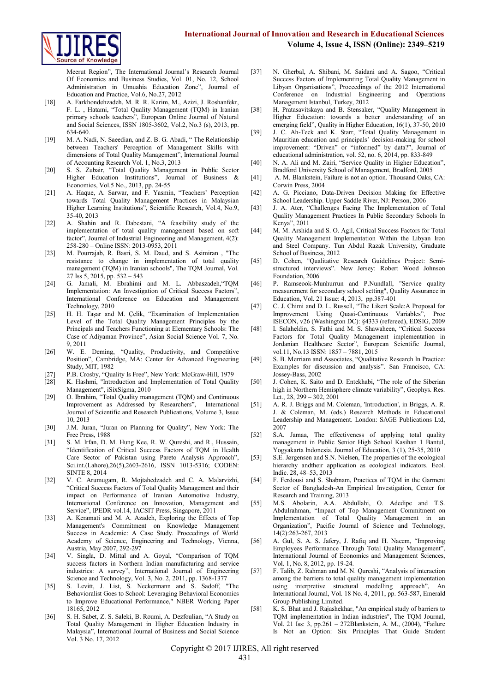

Meerut Region", The International Journal's Research Journal Of Economics and Business Studies, Vol. 01, No. 12, School Administration in Umuahia Education Zone", Journal of Education and Practice, Vol.6, No.27, 2012

- [18] A. Farkhondehzadeh, M. R. R. Karim, M., Azizi, J. Roshanfekr, F. L. , Hatami, "Total Quality Management (TQM) in Iranian primary schools teachers", European Online Journal of Natural and Social Sciences, ISSN 1805-3602, Vol.2, No.3 (s), 2013, pp. 634-640.
- [19] M. A. Nadi, N. Saeedian, and Z. B. G. Abadi, "The Relationship between Teachers' Perception of Management Skills with dimensions of Total Quality Management", International Journal of Accounting Research Vol. 1, No.3, 2013
- [20] S. S. Zubair, "Total Quality Management in Public Sector Higher Education Institutions", Journal of Business & Economics, Vol.5 No., 2013, pp. 24-55
- [21] A. Haque, A. Sarwar, and F. Yasmin, "Teachers' Perception towards Total Quality Management Practices in Malaysian Higher Learning Institutions", Scientific Research, Vol.4, No.9, 35-40, 2013
- [22] A. Shahin and R. Dabestani, "A feasibility study of the implementation of total quality management based on soft factor", Journal of Industrial Engineering and Management, 4(2): 258-280 – Online ISSN: 2013-0953, 2011
- [23] M. Pourrajab, R. Basri, S. M. Daud, and S. Asimiran , "The resistance to change in implementation of total quality management (TQM) in Iranian schools", The TQM Journal, Vol. 27 Iss 5, 2015, pp. 532 – 543
- [24] G. Jamali, M. Ebrahimi and M. L. Abbaszadeh,"TQM Implementation: An Investigation of Critical Success Factors", International Conference on Education and Management Technology, 2010
- [25] H. H. Taşar and M. Çelik, "Examination of Implementation Level of the Total Quality Management Principles by the Principals and Teachers Functioning at Elementary Schools: The Case of Adiyaman Province", Asian Social Science Vol. 7, No. 9, 2011
- [26] W. E. Deming, "Quality, Productivity, and Competitive Position", Cambridge, MA: Center for Advanced Engineering Study, MIT, 1982
- [27] P.B. Crosby, "Quality Is Free", New York: McGraw-Hill, 1979
- [28] K. Hashmi, "Introduction and Implementation of Total Quality Management", iSixSigma, 2010
- [29] O. Ibrahim, "Total Quality management (TQM) and Continuous Improvement as Addressed by Researchers", International Journal of Scientific and Research Publications, Volume 3, Issue 10, 2013
- [30] J.M. Juran, "Juran on Planning for Quality", New York: The Free Press, 1988
- [31] S. M. Irfan, D. M. Hung Kee, R. W. Qureshi, and R., Hussain, "Identification of Critical Success Factors of TQM in Health Care Sector of Pakistan using Pareto Analysis Approach", Sci.int.(Lahore),26(5),2603-2616, ISSN 1013-5316; CODEN: SINTE 8, 2014
- [32] V. C. Arumugam, R. Mojtahedzadeh and C. A. Malarvizhi, "Critical Success Factors of Total Quality Management and their impact on Performance of Iranian Automotive Industry, International Conference on Innovation, Management and Service", IPEDR vol.14, IACSIT Press, Singapore, 2011
- [33] A. Keramati and M. A. Azadeh, Exploring the Effects of Top Management's Commitment on Knowledge Management Success in Academic: A Case Study. Proceedings of World Academy of Science, Engineering and Technology, Vienna, Austria, May 2007, 292-297
- [34] V. Singla, D. Mittal and A. Goyal, "Comparison of TQM success factors in Northern Indian manufacturing and service industries: A survey", International Journal of Engineering Science and Technology, Vol. 3, No. 2, 2011, pp. 1368-1377
- [35] S. Levitt, J. List, S. Neckermann and S. Sadoff, "The Behavioralist Goes to School: Leveraging Behavioral Economics to Improve Educational Performance," NBER Working Paper 18165, 2012
- [36] S. H. Sabet, Z. S. Saleki, B. Roumi, A. Dezfoulian, "A Study on Total Quality Management in Higher Education Industry in Malaysia", International Journal of Business and Social Science Vol. 3 No. 17, 2012
- [37] N. Gherbal, A. Shibani, M. Saidani and A. Sagoo, "Critical Success Factors of Implementing Total Quality Management in Libyan Organisations", Proceedings of the 2012 International Conference on Industrial Engineering and Operations Management Istanbul, Turkey, 2012
- [38] H. Pratasavitskaya and B. Stensaker, "Quality Management in Higher Education: towards a better understanding of an emerging field", Quality in Higher Education, 16(1), 37-50, 2010
- [39] J. C. Ah-Teck and K. Starr, "Total Quality Management in Mauritian education and principals' decision-making for school improvement: "Driven" or "informed" by data?", Journal of educational administration, vol. 52, no. 6, 2014, pp. 833-849
- [40] N. A. Ali and M. Zairi, "Service Quality in Higher Education", Bradford University School of Management, Bradford, 2005
- [41] A. M. Blankstein, Failure is not an option. Thousand Oaks, CA: Corwin Press, 2004
- [42] A. G. Picciano, Data-Driven Decision Making for Effective School Leadership. Upper Saddle River, NJ: Person, 2006
- [43] J. A. Ater, "Challenges Facing The Implementation of Total Quality Management Practices In Public Secondary Schools In Kenya", 2011
- [44] M. M. Arshida and S. O. Agil, Critical Success Factors for Total Quality Management Implementation Within the Libyan Iron and Steel Company. Tun Abdul Razak University, Graduate School of Business, 2012
- [45] D. Cohen, "Qualitative Research Guidelines Project: Semistructured interviews". New Jersey: Robert Wood Johnson Foundation, 2006
- [46] P. Ramseook-Munhurrun and P.Nundlall, "Service quality measurement for secondary school setting", Quality Assurance in Education, Vol. 21 Issue: 4, 2013, pp.387-401
- [47] C. J. Chimi and D. L. Russell, "The Likert Scale:A Proposal for Improvement Using Quasi-Continuous Variables", Proc ISECON, v26 (Washington DC): §4333 (refereed), EDSIG, 2009
- [48] I. Salaheldin, S. Fathi and M. S. Shawaheen, "Critical Success Factors for Total Quality Management implementation in Jordanian Healthcare Sector", European Scientific Journal, vol.11, No.13 ISSN: 1857 – 7881, 2015
- [49] S. B. Merriam and Associates, "Qualitative Research In Practice: Examples for discussion and analysis". San Francisco, CA: Jossey-Bass, 2002
- [50] J. Cohen, K. Saito and D. Entekhabi, "The role of the Siberian high in Northern Hemisphere climate variability", Geophys. Res. Let., 28, 299 – 302, 2001
- [51] A. R. J. Briggs and M. Coleman, 'Introduction', in Briggs, A. R. J. & Coleman, M. (eds.) Research Methods in Educational Leadership and Management. London: SAGE Publications Ltd, 2007
- [52] S.A. Jamaa, The effectiveness of applying total quality management in Public Senior High School Kasihan 1 Bantul, Yogyakarta Indonesia. Journal of Education, 3 (1), 25-35, 2010
- [53] S.E. Jørgensen and S.N. Nielsen, The properties of the ecological hierarchy andtheir application as ecological indicators. Ecol. Indic. 28, 48–53, 2013
- [54] F. Ferdousi and S. Shabnam, Practices of TQM in the Garment Sector of Bangladesh-An Empirical Investigation, Center for Research and Training, 2013
- [55] M.S. Abolarin, A.A. Abdullahi, O. Adedipe and T.S. Abdulrahman, "Impact of Top Management Commitment on Implementation of Total Quality Management in an Organization", Pacific Journal of Science and Technology, 14(2):263-267, 2013
- [56] A. Gul, S. A. S. Jafery, J. Rafiq and H. Naeem, "Improving Employees Performance Through Total Quality Management", International Journal of Economics and Management Sciences, Vol. 1, No. 8, 2012, pp. 19-24.
- [57] F. Talib, Z. Rahman and M. N. Qureshi, "Analysis of interaction among the barriers to total quality management implementation using interpretive structural modelling approach", An International Journal, Vol. 18 No. 4, 2011, pp. 563-587, Emerald Group Publishing Limited.
- [58] K. S. Bhat and J. Rajashekhar, "An empirical study of barriers to TQM implementation in Indian industries", The TQM Journal, Vol. 21 Iss: 3, pp.261 – 272Blankstein, A. M., (2004), "Failure Is Not an Option: Six Principles That Guide Student